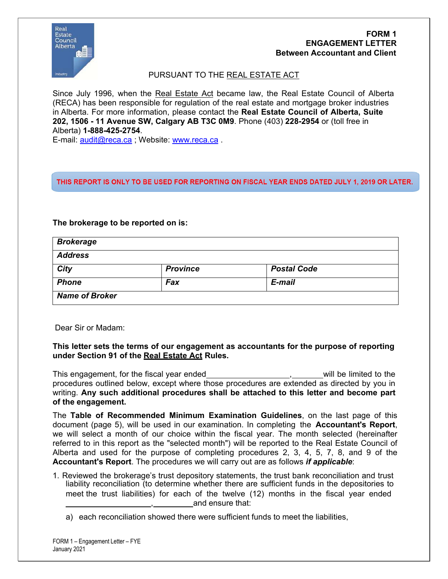

# **FORM 1 ENGAGEMENT LETTER Between Accountant and Client**

PURSUANT TO THE REAL ESTATE ACT

Since July 1996, when the Real Estate Act became law, the Real Estate Council of Alberta (RECA) has been responsible for regulation of the real estate and mortgage broker industries in Alberta. For more information, please contact the **Real Estate Council of Alberta, Suite 202, 1506 - 11 Avenue SW, Calgary AB T3C 0M9**. Phone (403) **228-2954** or (toll free in Alberta) **1-888-425-2754**.

E-mail: [audit@reca.ca](mailto:recainfo@reca.ca) ; Website: [www.reca.ca](http://www.reca.ca/) .

# THIS REPORT IS ONLY TO BE USED FOR REPORTING ON FISCAL YEAR ENDS DATED JULY 1, 2019 OR LATER.

## **The brokerage to be reported on is:**

| <b>Brokerage</b>      |                 |                    |  |
|-----------------------|-----------------|--------------------|--|
| <b>Address</b>        |                 |                    |  |
| City                  | <b>Province</b> | <b>Postal Code</b> |  |
| <b>Phone</b>          | Fax             | E-mail             |  |
| <b>Name of Broker</b> |                 |                    |  |

Dear Sir or Madam:

## **This letter sets the terms of our engagement as accountants for the purpose of reporting under Section 91 of the Real Estate Act Rules.**

This engagement, for the fiscal year ended  $\sim$ , will be limited to the procedures outlined below, except where those procedures are extended as directed by you in writing. **Any such additional procedures shall be attached to this letter and become part of the engagement.**

The **Table of Recommended Minimum Examination Guidelines**, on the last page of this document (page 5), will be used in our examination. In completing the **Accountant's Report**, we will select a month of our choice within the fiscal year. The month selected (hereinafter referred to in this report as the "selected month") will be reported to the Real Estate Council of Alberta and used for the purpose of completing procedures 2, 3, 4, 5, 7, 8, and 9 of the **Accountant's Report**. The procedures we will carry out are as follows *if applicable*:

- 1. Reviewed the brokerage's trust depository statements, the trust bank reconciliation and trust liability reconciliation (to determine whether there are sufficient funds in the depositories to meet the trust liabilities) for each of the twelve (12) months in the fiscal year ended , and ensure that:
	- a) each reconciliation showed there were sufficient funds to meet the liabilities,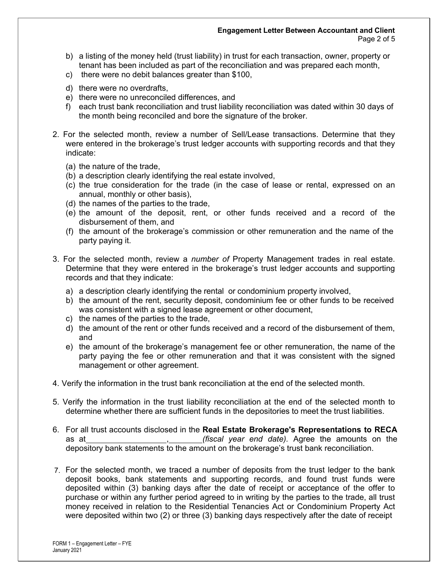#### **Engagement Letter Between Accountant and Client** Page 2 of 5

- b) a listing of the money held (trust liability) in trust for each transaction, owner, property or tenant has been included as part of the reconciliation and was prepared each month,
- c) there were no debit balances greater than \$100,
- d) there were no overdrafts,
- e) there were no unreconciled differences, and
- f) each trust bank reconciliation and trust liability reconciliation was dated within 30 days of the month being reconciled and bore the signature of the broker.
- 2. For the selected month, review a number of Sell/Lease transactions. Determine that they were entered in the brokerage's trust ledger accounts with supporting records and that they indicate:
	- (a) the nature of the trade,
	- (b) a description clearly identifying the real estate involved,
	- (c) the true consideration for the trade (in the case of lease or rental, expressed on an annual, monthly or other basis),
	- (d) the names of the parties to the trade,
	- (e) the amount of the deposit, rent, or other funds received and a record of the disbursement of them, and
	- (f) the amount of the brokerage's commission or other remuneration and the name of the party paying it.
- 3. For the selected month, review a *number of* Property Management trades in real estate. Determine that they were entered in the brokerage's trust ledger accounts and supporting records and that they indicate:
	- a) a description clearly identifying the rental or condominium property involved,
	- b) the amount of the rent, security deposit, condominium fee or other funds to be received was consistent with a signed lease agreement or other document,
	- c) the names of the parties to the trade,
	- d) the amount of the rent or other funds received and a record of the disbursement of them, and
	- e) the amount of the brokerage's management fee or other remuneration, the name of the party paying the fee or other remuneration and that it was consistent with the signed management or other agreement.
- 4. Verify the information in the trust bank reconciliation at the end of the selected month.
- 5. Verify the information in the trust liability reconciliation at the end of the selected month to determine whether there are sufficient funds in the depositories to meet the trust liabilities.
- 6. For all trust accounts disclosed in the **Real Estate Brokerage's Representations to RECA** as at , *(fiscal year end date).* Agree the amounts on the depository bank statements to the amount on the brokerage's trust bank reconciliation.
- 7. For the selected month, we traced a number of deposits from the trust ledger to the bank deposit books, bank statements and supporting records, and found trust funds were deposited within (3) banking days after the date of receipt or acceptance of the offer to purchase or within any further period agreed to in writing by the parties to the trade, all trust money received in relation to the Residential Tenancies Act or Condominium Property Act were deposited within two (2) or three (3) banking days respectively after the date of receipt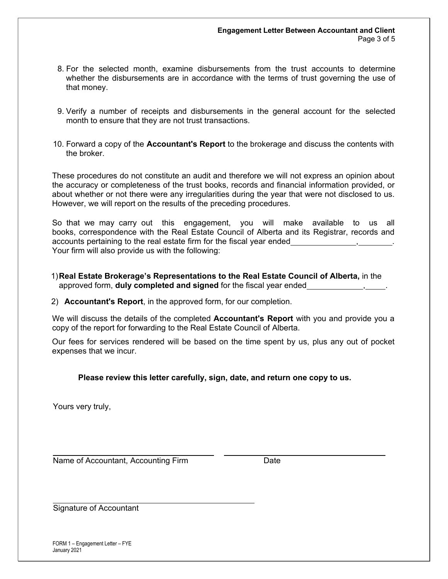- 8. For the selected month, examine disbursements from the trust accounts to determine whether the disbursements are in accordance with the terms of trust governing the use of that money.
- 9. Verify a number of receipts and disbursements in the general account for the selected month to ensure that they are not trust transactions.
- 10. Forward a copy of the **Accountant's Report** to the brokerage and discuss the contents with the broker.

These procedures do not constitute an audit and therefore we will not express an opinion about the accuracy or completeness of the trust books, records and financial information provided, or about whether or not there were any irregularities during the year that were not disclosed to us. However, we will report on the results of the preceding procedures.

So that we may carry out this engagement, you will make available to us all books, correspondence with the Real Estate Council of Alberta and its Registrar, records and accounts pertaining to the real estate firm for the fiscal year ended Your firm will also provide us with the following:

1)**Real Estate Brokerage's Representations to the Real Estate Council of Alberta,** in the approved form, **duly completed and signed** for the fiscal year ended , .

2) **Accountant's Report**, in the approved form, for our completion.

We will discuss the details of the completed **Accountant's Report** with you and provide you a copy of the report for forwarding to the Real Estate Council of Alberta.

Our fees for services rendered will be based on the time spent by us, plus any out of pocket expenses that we incur.

### **Please review this letter carefully, sign, date, and return one copy to us.**

Yours very truly,

Name of Accountant, Accounting Firm Date

Signature of Accountant

FORM 1 – Engagement Letter – FYE January 2021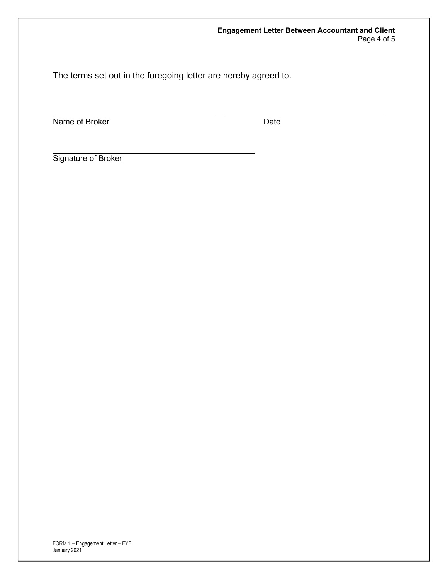The terms set out in the foregoing letter are hereby agreed to.

Name of Broker Date

Signature of Broker